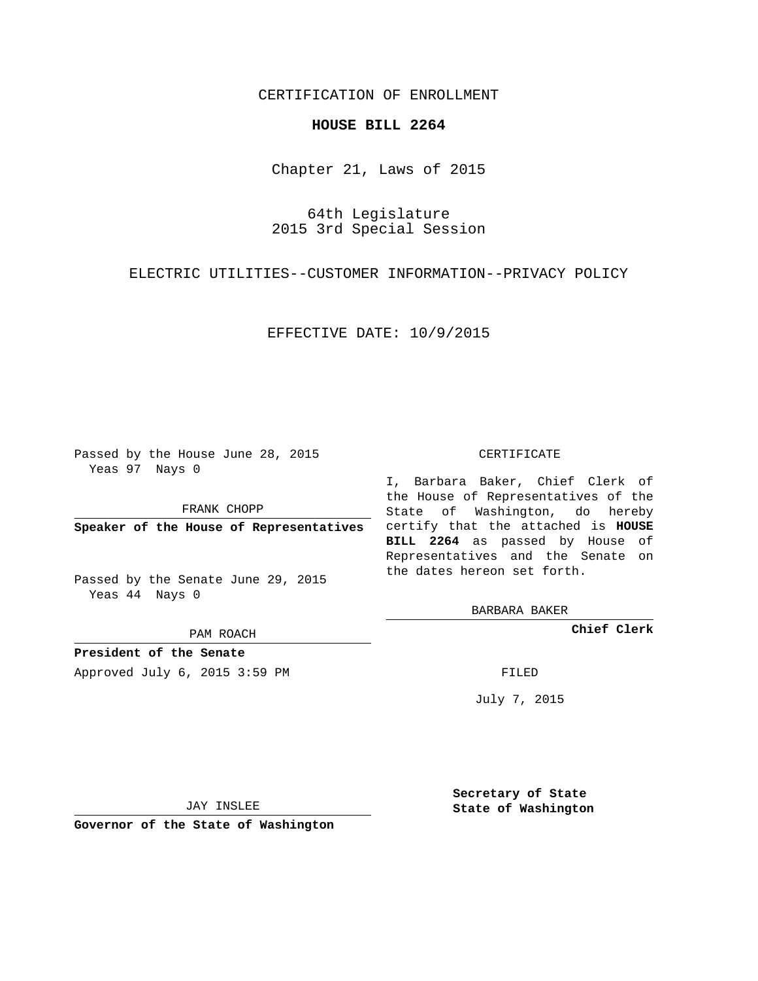## CERTIFICATION OF ENROLLMENT

## **HOUSE BILL 2264**

Chapter 21, Laws of 2015

64th Legislature 2015 3rd Special Session

ELECTRIC UTILITIES--CUSTOMER INFORMATION--PRIVACY POLICY

EFFECTIVE DATE: 10/9/2015

Passed by the House June 28, 2015 Yeas 97 Nays 0

FRANK CHOPP

Passed by the Senate June 29, 2015 Yeas 44 Nays 0

PAM ROACH

**President of the Senate**

Approved July 6, 2015 3:59 PM FILED

## CERTIFICATE

**Speaker of the House of Representatives** certify that the attached is **HOUSE** I, Barbara Baker, Chief Clerk of the House of Representatives of the State of Washington, do hereby **BILL 2264** as passed by House of Representatives and the Senate on the dates hereon set forth.

BARBARA BAKER

**Chief Clerk**

July 7, 2015

JAY INSLEE

**Governor of the State of Washington**

**Secretary of State State of Washington**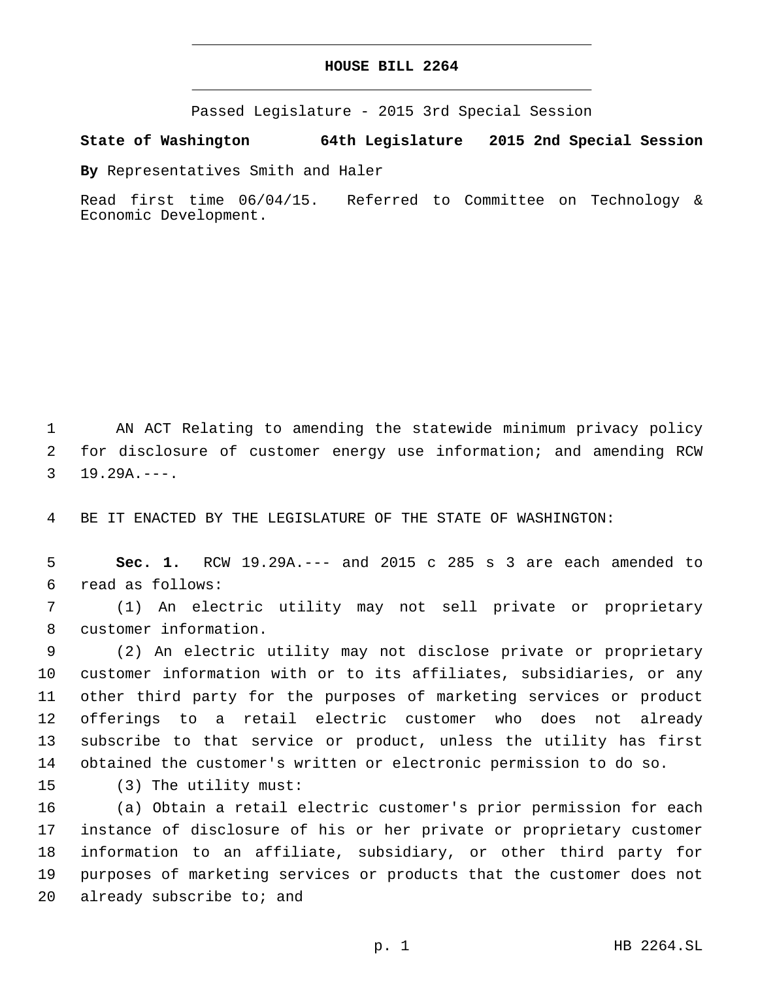Passed Legislature - 2015 3rd Special Session

**State of Washington 64th Legislature 2015 2nd Special Session**

**By** Representatives Smith and Haler

Read first time 06/04/15. Referred to Committee on Technology & Economic Development.

1 AN ACT Relating to amending the statewide minimum privacy policy 2 for disclosure of customer energy use information; and amending RCW  $3$  19.29A.---.

4 BE IT ENACTED BY THE LEGISLATURE OF THE STATE OF WASHINGTON:

5 **Sec. 1.** RCW 19.29A.--- and 2015 c 285 s 3 are each amended to read as follows:6

7 (1) An electric utility may not sell private or proprietary 8 customer information.

 (2) An electric utility may not disclose private or proprietary customer information with or to its affiliates, subsidiaries, or any other third party for the purposes of marketing services or product offerings to a retail electric customer who does not already subscribe to that service or product, unless the utility has first obtained the customer's written or electronic permission to do so.

15 (3) The utility must:

 (a) Obtain a retail electric customer's prior permission for each instance of disclosure of his or her private or proprietary customer information to an affiliate, subsidiary, or other third party for purposes of marketing services or products that the customer does not 20 already subscribe to; and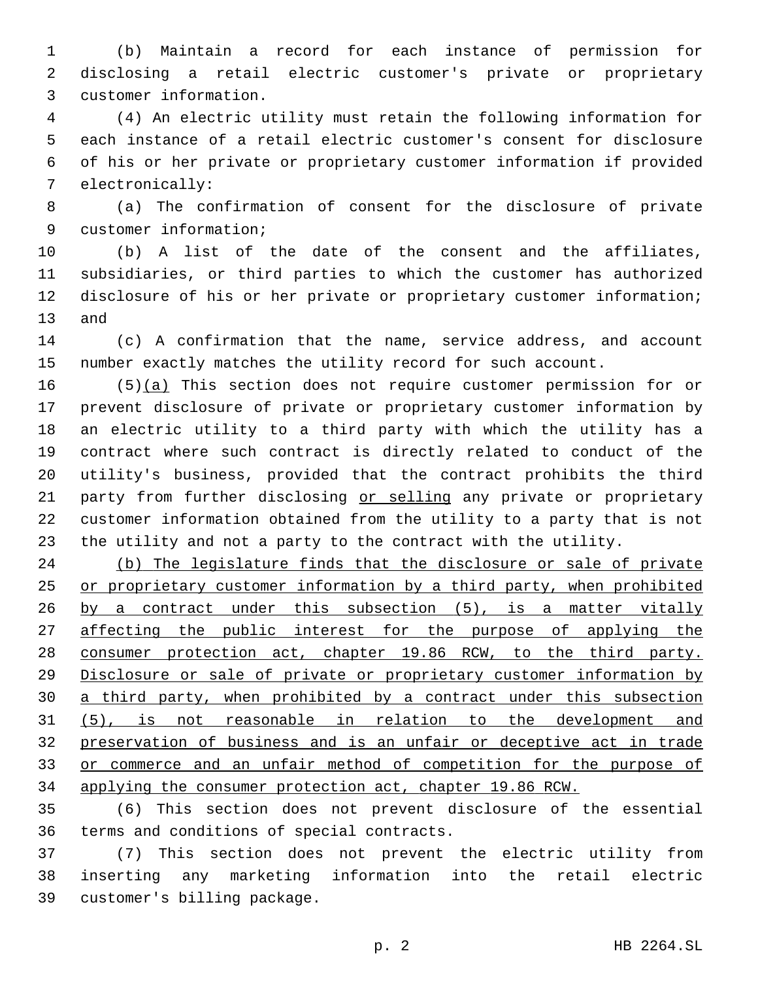(b) Maintain a record for each instance of permission for disclosing a retail electric customer's private or proprietary customer information.3

 (4) An electric utility must retain the following information for each instance of a retail electric customer's consent for disclosure of his or her private or proprietary customer information if provided 7 electronically:

 (a) The confirmation of consent for the disclosure of private 9 customer information;

 (b) A list of the date of the consent and the affiliates, subsidiaries, or third parties to which the customer has authorized disclosure of his or her private or proprietary customer information; 13 and

 (c) A confirmation that the name, service address, and account number exactly matches the utility record for such account.

 (5)(a) This section does not require customer permission for or prevent disclosure of private or proprietary customer information by an electric utility to a third party with which the utility has a contract where such contract is directly related to conduct of the utility's business, provided that the contract prohibits the third 21 party from further disclosing or selling any private or proprietary customer information obtained from the utility to a party that is not the utility and not a party to the contract with the utility.

 (b) The legislature finds that the disclosure or sale of private or proprietary customer information by a third party, when prohibited by a contract under this subsection (5), is a matter vitally 27 affecting the public interest for the purpose of applying the consumer protection act, chapter 19.86 RCW, to the third party. Disclosure or sale of private or proprietary customer information by 30 a third party, when prohibited by a contract under this subsection (5), is not reasonable in relation to the development and preservation of business and is an unfair or deceptive act in trade or commerce and an unfair method of competition for the purpose of applying the consumer protection act, chapter 19.86 RCW.

 (6) This section does not prevent disclosure of the essential 36 terms and conditions of special contracts.

 (7) This section does not prevent the electric utility from inserting any marketing information into the retail electric 39 customer's billing package.